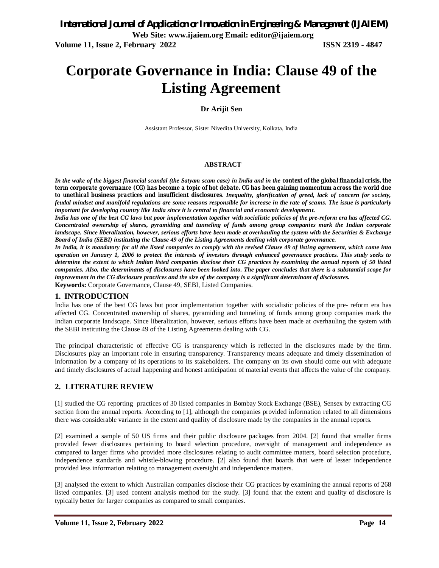# **Corporate Governance in India: Clause 49 of the Listing Agreement**

#### **Dr Arijit Sen**

Assistant Professor, Sister Nivedita University, Kolkata, India

#### **ABSTRACT**

*In the wake of the biggest financial scandal (the Satyam scam case) in India and in the context of the global financial crisis, the term corporate governance (CG) has become a topic of hot debate. CG has been gaining momentum across the world due to unethical business practices and insufficient disclosures. Inequality, glorification of greed, lack of concern for society, feudal mindset and manifold regulations are some reasons responsible for increase in the rate of scams. The issue is particularly important for developing country like India since it is central to financial and economic development.*

*India has one of the best CG laws but poor implementation together with socialistic policies of the pre-reform era has affected CG. Concentrated ownership of shares, pyramiding and tunneling of funds among group companies mark the Indian corporate landscape. Since liberalization, however, serious efforts have been made at overhauling the system with the Securities & Exchange Board of India (SEBI) instituting the Clause 49 of the Listing Agreements dealing with corporate governance.*

*In India, it is mandatory for all the listed companies to comply with the revised Clause 49 of listing agreement, which came into operation on January 1, 2006 to protect the interests of investors through enhanced governance practices. This study seeks to determine the extent to which Indian listed companies disclose their CG practices by examining the annual reports of 50 listed companies. Also, the determinants of disclosures have been looked into. The paper concludes that there is a substantial scope for improvement in the CG disclosure practices and the size of the company is a significant determinant of disclosures.* **Keywords:** Corporate Governance, Clause 49, SEBI, Listed Companies.

#### **1. INTRODUCTION**

India has one of the best CG laws but poor implementation together with socialistic policies of the pre- reform era has affected CG. Concentrated ownership of shares, pyramiding and tunneling of funds among group companies mark the Indian corporate landscape. Since liberalization, however, serious efforts have been made at overhauling the system with the SEBI instituting the Clause 49 of the Listing Agreements dealing with CG.

The principal characteristic of effective CG is transparency which is reflected in the disclosures made by the firm. Disclosures play an important role in ensuring transparency. Transparency means adequate and timely dissemination of information by a company of its operations to its stakeholders. The company on its own should come out with adequate and timely disclosures of actual happening and honest anticipation of material events that affects the value of the company.

## **2. LITERATURE REVIEW**

[1] studied the CG reporting practices of 30 listed companies in Bombay Stock Exchange (BSE), Sensex by extracting CG section from the annual reports. According to [1], although the companies provided information related to all dimensions there was considerable variance in the extent and quality of disclosure made by the companies in the annual reports.

[2] examined a sample of 50 US firms and their public disclosure packages from 2004. [2] found that smaller firms provided fewer disclosures pertaining to board selection procedure, oversight of management and independence as compared to larger firms who provided more disclosures relating to audit committee matters, board selection procedure, independence standards and whistle-blowing procedure. [2] also found that boards that were of lesser independence provided less information relating to management oversight and independence matters.

[3] analysed the extent to which Australian companies disclose their CG practices by examining the annual reports of 268 listed companies. [3] used content analysis method for the study. [3] found that the extent and quality of disclosure is typically better for larger companies as compared to small companies.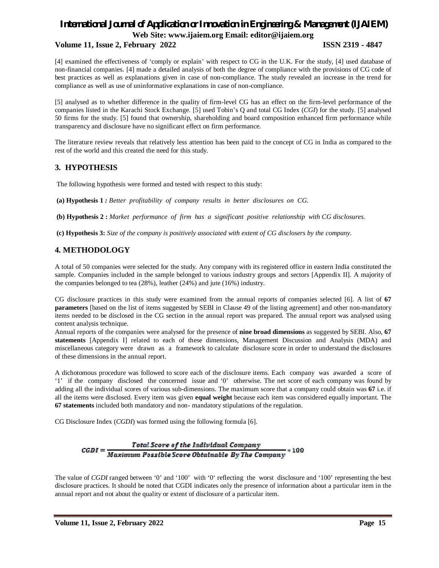#### **Volume 11, Issue 2, February 2022 ISSN 2319 - 4847**

[4] examined the effectiveness of 'comply or explain' with respect to CG in the U.K. For the study, [4] used database of non-financial companies. [4] made a detailed analysis of both the degree of compliance with the provisions of CG code of best practices as well as explanations given in case of non-compliance. The study revealed an increase in the trend for compliance as well as use of uninformative explanations in case of non-compliance.

[5] analysed as to whether difference in the quality of firm-level CG has an effect on the firm-level performance of the companies listed in the Karachi Stock Exchange. [5] used Tobin's Q and total CG Index (*CGI*) for the study. [5] analysed 50 firms for the study. [5] found that ownership, shareholding and board composition enhanced firm performance while transparency and disclosure have no significant effect on firm performance.

The literature review reveals that relatively less attention has been paid to the concept of CG in India as compared to the rest of the world and this created the need for this study.

## **3. HYPOTHESIS**

The following hypothesis were formed and tested with respect to this study:

**(a) Hypothesis 1** *: Better profitability of company results in better disclosures on CG.*

**(b) Hypothesis 2 :** *Market performance of firm has a significant positive relationship with CG disclosures.*

**(c) Hypothesis 3:** *Size of the company is positively associated with extent of CG disclosers by the company.*

## **4. METHODOLOGY**

A total of 50 companies were selected for the study. Any company with its registered office in eastern India constituted the sample. Companies included in the sample belonged to various industry groups and sectors [Appendix II]. A majority of the companies belonged to tea (28%), leather (24%) and jute (16%) industry.

CG disclosure practices in this study were examined from the annual reports of companies selected [6]. A list of **67 parameters** [based on the list of items suggested by SEBI in Clause 49 of the listing agreement] and other non-mandatory items needed to be disclosed in the CG section in the annual report was prepared. The annual report was analysed using content analysis technique.

Annual reports of the companies were analysed for the presence of **nine broad dimensions** as suggested by SEBI. Also, **67 statements** [Appendix I] related to each of these dimensions, Management Discussion and Analysis (MDA) and miscellaneous category were drawn as a framework to calculate disclosure score in order to understand the disclosures of these dimensions in the annual report.

A dichotomous procedure was followed to score each of the disclosure items. Each company was awarded a score of '1' if the company disclosed the concerned issue and '0' otherwise. The net score of each company was found by adding all the individual scores of various sub-dimensions. The maximum score that a company could obtain was **67** i.e. if all the items were disclosed. Every item was given **equal weight** because each item was considered equally important. The **67 statements** included both mandatory and non- mandatory stipulations of the regulation.

CG Disclosure Index (*CGDI*) was formed using the following formula [6].

#### Total Score of the Individual Company Maximum Possible Score Obtainable By The Company \* 100  $CGDI =$

The value of *CGDI* ranged between '0' and '100' with '0' reflecting the worst disclosure and '100' representing the best disclosure practices. It should be noted that CGDI indicates only the presence of information about a particular item in the annual report and not about the quality or extent of disclosure of a particular item.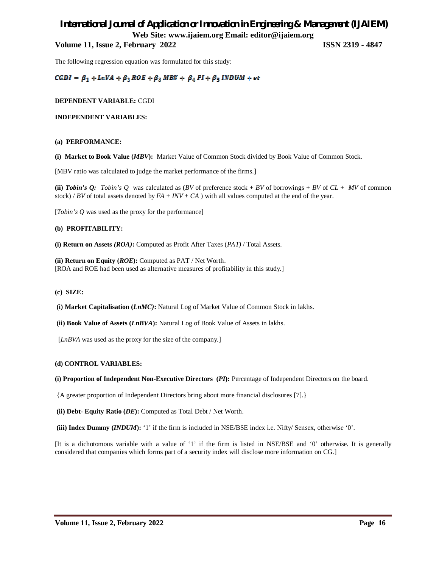**Volume 11, Issue 2, February 2022 ISSN 2319 - 4847**

The following regression equation was formulated for this study:

 $CGDI = \beta_1 + LnVA + \beta_2 ROE + \beta_3 MBV + \beta_4 PI + \beta_5 INDUM + et$ 

#### **DEPENDENT VARIABLE:** CGDI

**INDEPENDENT VARIABLES:**

#### **(a) PERFORMANCE:**

**(i) Market to Book Value (***MBV***):** Market Value of Common Stock divided by Book Value of Common Stock.

[MBV ratio was calculated to judge the market performance of the firms.]

**(ii)** *Tobin's O: Tobin's Q* was calculated as  $(BV \text{ of preference stock} + BV \text{ of borrowings} + BV \text{ of } CL + MV \text{ of common})$ stock) / *BV* of total assets denoted by  $FA + INV + CA$  ) with all values computed at the end of the year.

[*Tobin's Q* was used as the proxy for the performance]

#### **(b) PROFITABILITY:**

**(i) Return on Assets** *(ROA)***:** Computed as Profit After Taxes (*PAT)* / Total Assets.

**(ii) Return on Equity (***ROE***):** Computed as PAT / Net Worth. [ROA and ROE had been used as alternative measures of profitability in this study.]

#### **(c) SIZE:**

**(i) Market Capitalisation (***LnMC)***:** Natural Log of Market Value of Common Stock in lakhs.

**(ii) Book Value of Assets (***LnBVA***):** Natural Log of Book Value of Assets in lakhs.

[*LnBVA* was used as the proxy for the size of the company.]

#### **(d) CONTROL VARIABLES:**

**(i) Proportion of Independent Non-Executive Directors (***PI***):** Percentage of Independent Directors on the board.

{A greater proportion of Independent Directors bring about more financial disclosures [7].}

**(ii) Debt- Equity Ratio (***DE***):** Computed as Total Debt / Net Worth.

**(iii) Index Dummy (***INDUM***):** '1' if the firm is included in NSE/BSE index i.e. Nifty/ Sensex, otherwise '0'.

[It is a dichotomous variable with a value of '1' if the firm is listed in NSE/BSE and '0' otherwise. It is generally considered that companies which forms part of a security index will disclose more information on CG.]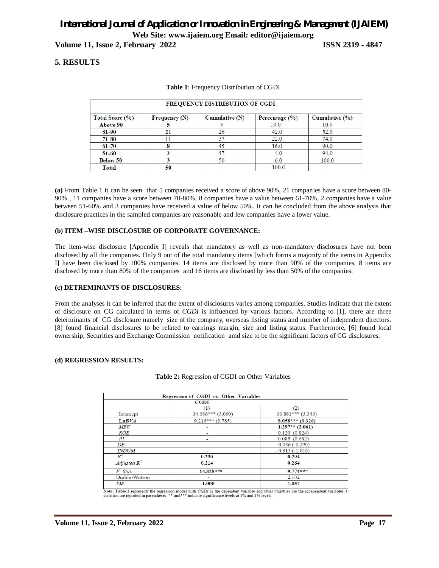**Volume 11, Issue 2, February 2022 ISSN 2319 - 4847**

### **5. RESULTS**

| <b>FREQUENCY DISTRIBUTION OF CGDI</b> |                 |                  |                |                |  |
|---------------------------------------|-----------------|------------------|----------------|----------------|--|
| Total Score (%)                       | Frequency $(N)$ | Cumulative $(N)$ | Percentage (%) | Cumulative (%) |  |
| <b>Above 90</b>                       |                 |                  | 10.0           | 10.0           |  |
| 81-90                                 | 21              | 26               | 42.0           | 52.0           |  |
| $71 - 80$                             |                 | 37               | 22.0           | 74.0           |  |
| $61 - 70$                             |                 | 45               | 16.0           | 90.0           |  |
| $51 - 60$                             |                 | 47               | 4.0            | 94.0           |  |
| <b>Below 50</b>                       |                 | 50               | 6.0            | 100.0          |  |
| Total                                 | 50              |                  | 100.0          |                |  |

#### **Table 1**: Frequency Distribution of CGDI

**(a)** From Table 1 it can be seen that 5 companies received a score of above 90%, 21 companies have a score between 80- 90% , 11 companies have a score between 70-80%, 8 companies have a value between 61-70%, 2 companies have a value between 51-60% and 3 companies have received a value of below 50%. It can be concluded from the above analysis that disclosure practices in the sampled companies are reasonable and few companies have a lower value.

#### **(b) ITEM –WISE DISCLOSURE OF CORPORATE GOVERNANCE:**

The item-wise disclosure [Appendix I] reveals that mandatory as well as non-mandatory disclosures have not been disclosed by all the companies. Only 9 out of the total mandatory items [which forms a majority of the items in Appendix I] have been disclosed by 100% companies. 14 items are disclosed by more than 90% of the companies, 8 items are disclosed by more than 80% of the companies and 16 items are disclosed by less than 50% of the companies.

#### **(c) DETREMINANTS OF DISCLOSURES:**

From the analyses it can be inferred that the extent of disclosures varies among companies. Studies indicate that the extent of disclosure on CG calculated in terms of *CGDI* is influenced by various factors. According to [1], there are three determinants of CG disclosure namely size of the company, overseas listing status and number of independent directors. [8] found financial disclosures to be related to earnings margin, size and listing status. Furthermore, [6] found local ownership, Securities and Exchange Commission notification amd size to be the significant factors of CG disclosures.

#### **(d) REGRESSION RESULTS:**

|                | <b>Regression of CGDI on Other Variables</b> |                     |  |  |
|----------------|----------------------------------------------|---------------------|--|--|
|                | <b>CGDI</b>                                  |                     |  |  |
|                | п                                            | (2)                 |  |  |
| Intercept      | $34.686***$ (3.060)                          | $36.881***$ (3.346) |  |  |
| LnBVA          | $9.216***(3.785)$                            | $8.058***$ (3.326)  |  |  |
| MBV            | ٠                                            | $1.297**$ (2.061)   |  |  |
| <b>ROE</b>     |                                              | 0.120(0.824)        |  |  |
| PI             |                                              | 0.085(0.682)        |  |  |
| DE             | -                                            | $-0.036(-0.290)$    |  |  |
| <b>INDUM</b>   | -                                            | $-0.315(-1.816)$    |  |  |
| $R^2$          | 0.230                                        | 0.294               |  |  |
| Adjusted $R^2$ | 0.214                                        | 0.264               |  |  |
| $F$ - Stat.    | $14.328***$                                  | $9.774***$          |  |  |
| Durbin-Watson  |                                              | 2.102               |  |  |
| VIF            | 1.000                                        | 1.057               |  |  |

|  |  | Table 2: Regression of CGDI on Other Variables |  |  |
|--|--|------------------------------------------------|--|--|
|--|--|------------------------------------------------|--|--|

Note: Table 2 represents the regression model with CGDI as the dependent variable and other variables are the independent variables. t-<br>statistics are reported in parentheses. \*\* and\*\*\* indicate significance levels at 5% a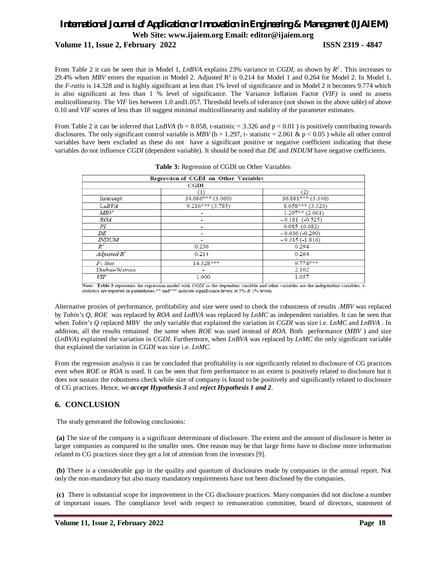**Volume 11, Issue 2, February 2022 ISSN 2319 - 4847**

From Table 2 it can be seen that in Model 1, *LnBVA* explains 23% variance in *CGDI*, as shown by  $R^2$ . This increases to 29.4% when *MBV* enters the equation in Model 2. Adjusted  $R^2$  is 0.214 for Model 1 and 0.264 for Model 2. In Model 1, the *F-ratio* is 14.328 and is highly significant at less than 1% level of significance and in Model 2 it becomes 9.774 which is also significant at less than 1 % level of significance. The Variance Inflation Factor (*VIF)* is used to assess multicollinearity. The *VIF* lies between 1.0 and1.057. Threshold levels of tolerance (not shown in the above table) of above 0.10 and *VIF* scores of less than 10 suggest minimal multicollinearity and stability of the parameter estimates.

From Table 2 it can be inferred that LnBVA ( $b = 8.058$ , t-statistic = 3.326 and  $p < 0.01$ ) is positively contributing towards disclosures. The only significant control variable is  $MBV$  (b = 1.297, t- statistic = 2.061 & p < 0.05) while all other control variables have been excluded as these do not have a significant positive or negative coefficient indicating that these variables do not influence *CGDI* (dependent variable). It should be noted that *DE* and *INDUM* have negative coefficients.

| <b>Regression of CGDI on Other Variables</b><br><b>CGDI</b> |                     |  |  |  |
|-------------------------------------------------------------|---------------------|--|--|--|
|                                                             |                     |  |  |  |
| $34.686***$ (3.060)                                         | $36.881***$ (3.346) |  |  |  |
| $9.216***(3.785)$                                           | $8.058***$ (3.326)  |  |  |  |
|                                                             | $1.297**$ (2.061)   |  |  |  |
| ۰                                                           | $-0.181$ $(-0.525)$ |  |  |  |
|                                                             | 0.085(0.682)        |  |  |  |
|                                                             | $-0.036(-0.290)$    |  |  |  |
| ۰                                                           | $-0.315(-1.816)$    |  |  |  |
| 0.230                                                       | 0.294               |  |  |  |
| 0.214                                                       | 0.264               |  |  |  |
| 14.328***                                                   | $9.774***$          |  |  |  |
| ۰                                                           | 2.102               |  |  |  |
| 1.000                                                       | 1.057               |  |  |  |
|                                                             |                     |  |  |  |

| Table 3: Regression of CGDI on Other Variables |  |  |  |  |
|------------------------------------------------|--|--|--|--|
|------------------------------------------------|--|--|--|--|

Note: Table 3 represents the regression model with CGDI as the dependent variable and other variables are the independent variables. Is statistics are reported in parentheses.\*\* and\*\*\* indicate significance levels at 5% &

Alternative proxies of performance, profitability and size were used to check the robustness of results .*MBV* was replaced by *Tobin's Q*, *ROE* was replaced by *ROA* and *LnBVA* was replaced by *LnMC* as independent variables. It can be seen that when *Tobin's Q* replaced *MBV* the only variable that explained the variation in *CGDI* was size i.e. *LnMC* and *LnBVA* . In addirion, all the results remained the same when *ROE* was used instead of *ROA*. Both performance (*MBV* ) and size (*LnBVA*) explained the variation in *CGDI*. Furthermore, when *LnBVA* was replaced by *LnMC* the only significant variable that explained the variation in *CGDI* was size i.e. *LnMC.*

From the regression analysis it can be concluded that profitability is not significantly related to disclosure of CG practices even when *ROE* or *ROA* is used. It can be seen that firm performance to an extent is positively related to disclosure but it does not sustain the robustness check while size of company is found to be positively and significantly related to disclosure of CG practices. Hence, we *accept Hypothesis 3* and *reject Hypothesis 1 and 2*.

#### **6. CONCLUSION**

The study generated the following conclusions:

**(a)** The size of the company is a significant determinant of disclosure. The extent and the amount of disclosure is better in larger companies as compared to the smaller ones. One reason may be that large firms have to disclose more information related to CG practices since they get a lot of attention from the investors [9].

**(b)** There is a considerable gap in the quality and quantum of disclosures made by companies in the annual report. Not only the non-mandatory but also many mandatory requirements have not been disclosed by the companies.

**(c)** There is substantial scope for improvement in the CG disclosure practices. Many companies did not disclose a number of important issues. The compliance level with respect to remuneration committee, board of directors, statement of